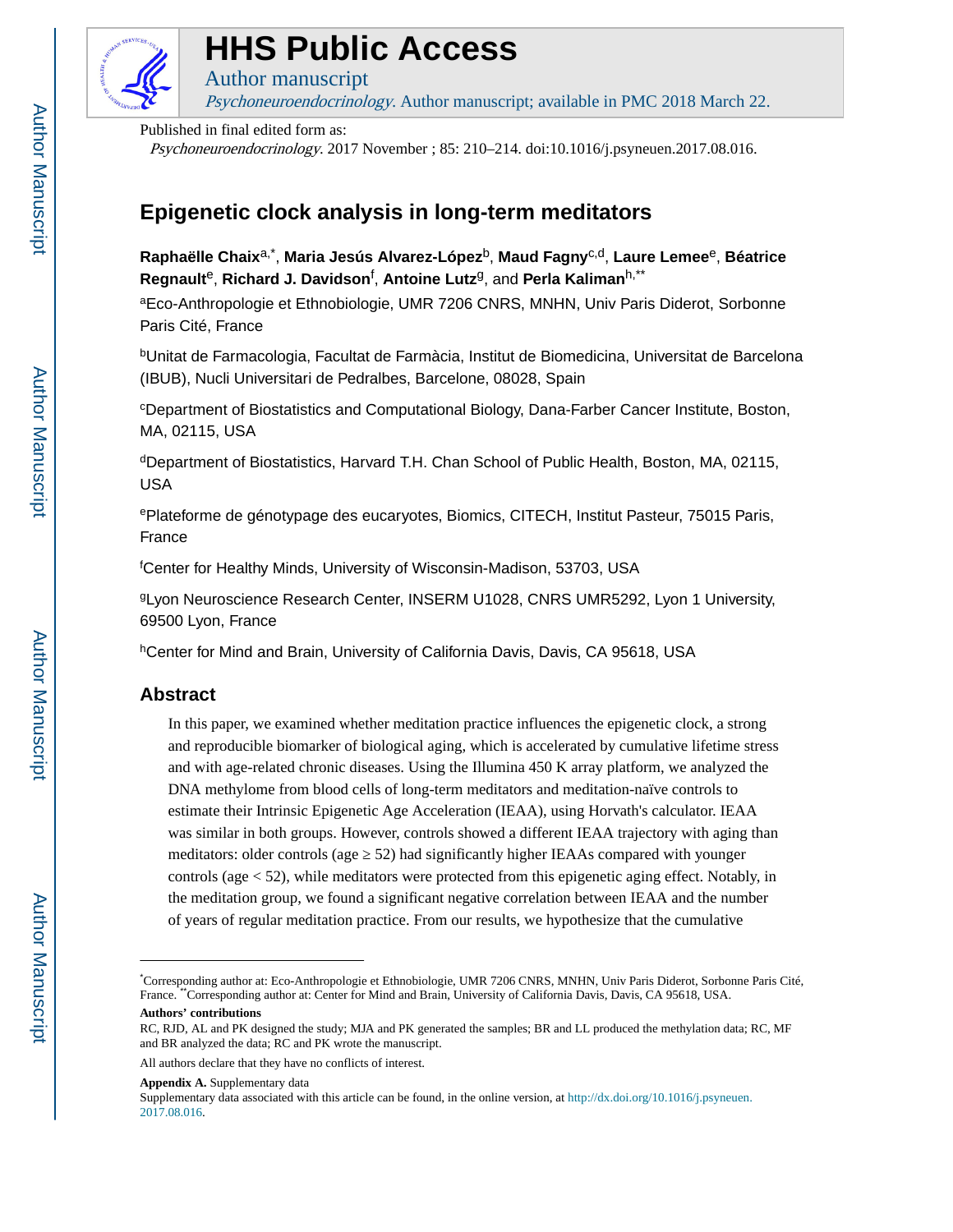

# **HHS Public Access**

Psychoneuroendocrinology. Author manuscript; available in PMC 2018 March 22.

Published in final edited form as:

Author manuscript

Psychoneuroendocrinology. 2017 November ; 85: 210–214. doi:10.1016/j.psyneuen.2017.08.016.

# **Epigenetic clock analysis in long-term meditators**

**Raphaëlle Chaix**a,\* , **Maria Jesús Alvarez-López**b, **Maud Fagny**c,d, **Laure Lemee**e, **Béatrice Regnault**e, **Richard J. Davidson**<sup>f</sup> , **Antoine Lutz**g, and **Perla Kaliman**h,\*\*

<sup>a</sup>Eco-Anthropologie et Ethnobiologie, UMR 7206 CNRS, MNHN, Univ Paris Diderot, Sorbonne Paris Cité, France

<sup>b</sup>Unitat de Farmacologia, Facultat de Farmàcia, Institut de Biomedicina, Universitat de Barcelona (IBUB), Nucli Universitari de Pedralbes, Barcelone, 08028, Spain

<sup>c</sup>Department of Biostatistics and Computational Biology, Dana-Farber Cancer Institute, Boston, MA, 02115, USA

<sup>d</sup>Department of Biostatistics, Harvard T.H. Chan School of Public Health, Boston, MA, 02115, USA

<sup>e</sup>Plateforme de génotypage des eucaryotes, Biomics, CITECH, Institut Pasteur, 75015 Paris, France

<sup>f</sup>Center for Healthy Minds, University of Wisconsin-Madison, 53703, USA

<sup>g</sup>Lyon Neuroscience Research Center, INSERM U1028, CNRS UMR5292, Lyon 1 University, 69500 Lyon, France

<sup>h</sup>Center for Mind and Brain, University of California Davis, Davis, CA 95618, USA

# **Abstract**

In this paper, we examined whether meditation practice influences the epigenetic clock, a strong and reproducible biomarker of biological aging, which is accelerated by cumulative lifetime stress and with age-related chronic diseases. Using the Illumina 450 K array platform, we analyzed the DNA methylome from blood cells of long-term meditators and meditation-naïve controls to estimate their Intrinsic Epigenetic Age Acceleration (IEAA), using Horvath's calculator. IEAA was similar in both groups. However, controls showed a different IEAA trajectory with aging than meditators: older controls (age 52) had significantly higher IEAAs compared with younger controls (age < 52), while meditators were protected from this epigenetic aging effect. Notably, in the meditation group, we found a significant negative correlation between IEAA and the number of years of regular meditation practice. From our results, we hypothesize that the cumulative

**Appendix A.** Supplementary data

<sup>\*</sup>Corresponding author at: Eco-Anthropologie et Ethnobiologie, UMR 7206 CNRS, MNHN, Univ Paris Diderot, Sorbonne Paris Cité, France. Corresponding author at: Center for Mind and Brain, University of California Davis, Davis, CA 95618, USA.

**Authors' contributions**

RC, RJD, AL and PK designed the study; MJA and PK generated the samples; BR and LL produced the methylation data; RC, MF and BR analyzed the data; RC and PK wrote the manuscript.

All authors declare that they have no conflicts of interest.

Supplementary data associated with this article can be found, in the online version, at [http://dx.doi.org/10.1016/j.psyneuen.](http://dx.doi.org/10.1016/j.psyneuen.2017.08.016) [2017.08.016.](http://dx.doi.org/10.1016/j.psyneuen.2017.08.016)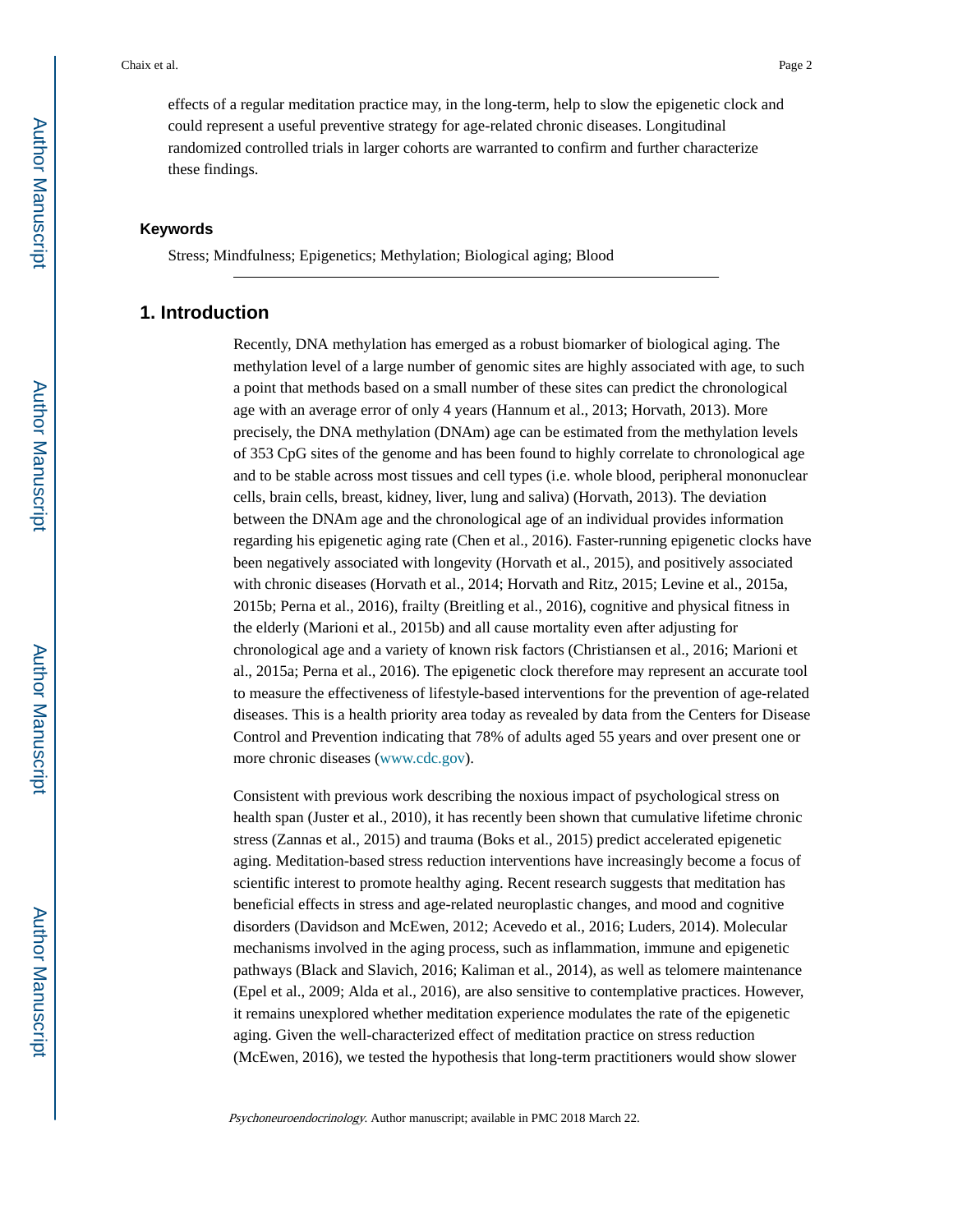effects of a regular meditation practice may, in the long-term, help to slow the epigenetic clock and could represent a useful preventive strategy for age-related chronic diseases. Longitudinal randomized controlled trials in larger cohorts are warranted to confirm and further characterize these findings.

#### **Keywords**

Stress; Mindfulness; Epigenetics; Methylation; Biological aging; Blood

# **1. Introduction**

Recently, DNA methylation has emerged as a robust biomarker of biological aging. The methylation level of a large number of genomic sites are highly associated with age, to such a point that methods based on a small number of these sites can predict the chronological age with an average error of only 4 years (Hannum et al., 2013; Horvath, 2013). More precisely, the DNA methylation (DNAm) age can be estimated from the methylation levels of 353 CpG sites of the genome and has been found to highly correlate to chronological age and to be stable across most tissues and cell types (i.e. whole blood, peripheral mononuclear cells, brain cells, breast, kidney, liver, lung and saliva) (Horvath, 2013). The deviation between the DNAm age and the chronological age of an individual provides information regarding his epigenetic aging rate (Chen et al., 2016). Faster-running epigenetic clocks have been negatively associated with longevity (Horvath et al., 2015), and positively associated with chronic diseases (Horvath et al., 2014; Horvath and Ritz, 2015; Levine et al., 2015a, 2015b; Perna et al., 2016), frailty (Breitling et al., 2016), cognitive and physical fitness in the elderly (Marioni et al., 2015b) and all cause mortality even after adjusting for chronological age and a variety of known risk factors (Christiansen et al., 2016; Marioni et al., 2015a; Perna et al., 2016). The epigenetic clock therefore may represent an accurate tool to measure the effectiveness of lifestyle-based interventions for the prevention of age-related diseases. This is a health priority area today as revealed by data from the Centers for Disease Control and Prevention indicating that 78% of adults aged 55 years and over present one or more chronic diseases [\(www.cdc.gov\)](http://www.cdc.gov).

Consistent with previous work describing the noxious impact of psychological stress on health span (Juster et al., 2010), it has recently been shown that cumulative lifetime chronic stress (Zannas et al., 2015) and trauma (Boks et al., 2015) predict accelerated epigenetic aging. Meditation-based stress reduction interventions have increasingly become a focus of scientific interest to promote healthy aging. Recent research suggests that meditation has beneficial effects in stress and age-related neuroplastic changes, and mood and cognitive disorders (Davidson and McEwen, 2012; Acevedo et al., 2016; Luders, 2014). Molecular mechanisms involved in the aging process, such as inflammation, immune and epigenetic pathways (Black and Slavich, 2016; Kaliman et al., 2014), as well as telomere maintenance (Epel et al., 2009; Alda et al., 2016), are also sensitive to contemplative practices. However, it remains unexplored whether meditation experience modulates the rate of the epigenetic aging. Given the well-characterized effect of meditation practice on stress reduction (McEwen, 2016), we tested the hypothesis that long-term practitioners would show slower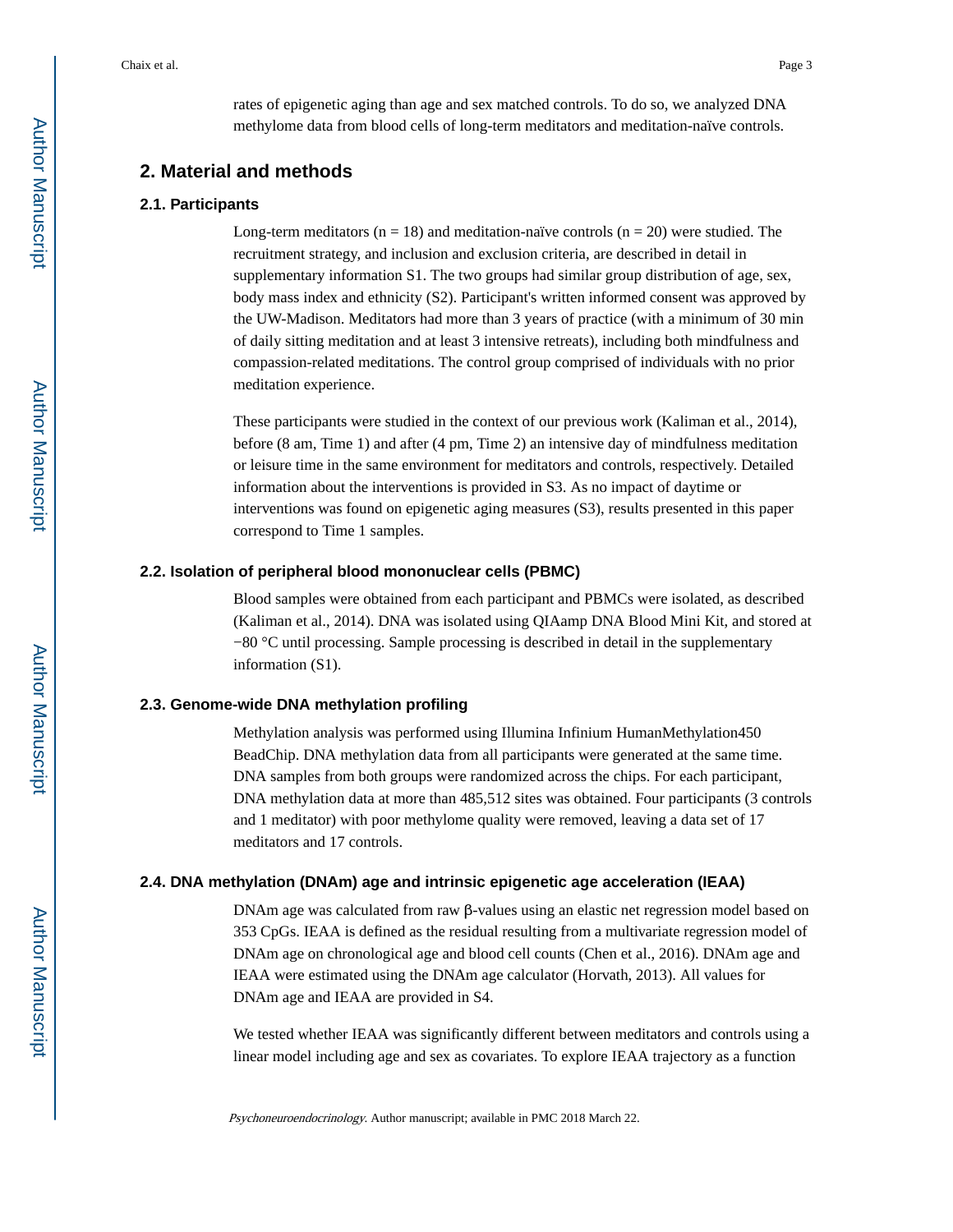rates of epigenetic aging than age and sex matched controls. To do so, we analyzed DNA methylome data from blood cells of long-term meditators and meditation-naïve controls.

# **2. Material and methods**

#### **2.1. Participants**

Long-term meditators ( $n = 18$ ) and meditation-naïve controls ( $n = 20$ ) were studied. The recruitment strategy, and inclusion and exclusion criteria, are described in detail in supplementary information S1. The two groups had similar group distribution of age, sex, body mass index and ethnicity (S2). Participant's written informed consent was approved by the UW-Madison. Meditators had more than 3 years of practice (with a minimum of 30 min of daily sitting meditation and at least 3 intensive retreats), including both mindfulness and compassion-related meditations. The control group comprised of individuals with no prior meditation experience.

These participants were studied in the context of our previous work (Kaliman et al., 2014), before (8 am, Time 1) and after (4 pm, Time 2) an intensive day of mindfulness meditation or leisure time in the same environment for meditators and controls, respectively. Detailed information about the interventions is provided in S3. As no impact of daytime or interventions was found on epigenetic aging measures (S3), results presented in this paper correspond to Time 1 samples.

#### **2.2. Isolation of peripheral blood mononuclear cells (PBMC)**

Blood samples were obtained from each participant and PBMCs were isolated, as described (Kaliman et al., 2014). DNA was isolated using QIAamp DNA Blood Mini Kit, and stored at −80 °C until processing. Sample processing is described in detail in the supplementary information (S1).

#### **2.3. Genome-wide DNA methylation profiling**

Methylation analysis was performed using Illumina Infinium HumanMethylation450 BeadChip. DNA methylation data from all participants were generated at the same time. DNA samples from both groups were randomized across the chips. For each participant, DNA methylation data at more than 485,512 sites was obtained. Four participants (3 controls and 1 meditator) with poor methylome quality were removed, leaving a data set of 17 meditators and 17 controls.

### **2.4. DNA methylation (DNAm) age and intrinsic epigenetic age acceleration (IEAA)**

DNAm age was calculated from raw β-values using an elastic net regression model based on 353 CpGs. IEAA is defined as the residual resulting from a multivariate regression model of DNAm age on chronological age and blood cell counts (Chen et al., 2016). DNAm age and IEAA were estimated using the DNAm age calculator (Horvath, 2013). All values for DNAm age and IEAA are provided in S4.

We tested whether IEAA was significantly different between meditators and controls using a linear model including age and sex as covariates. To explore IEAA trajectory as a function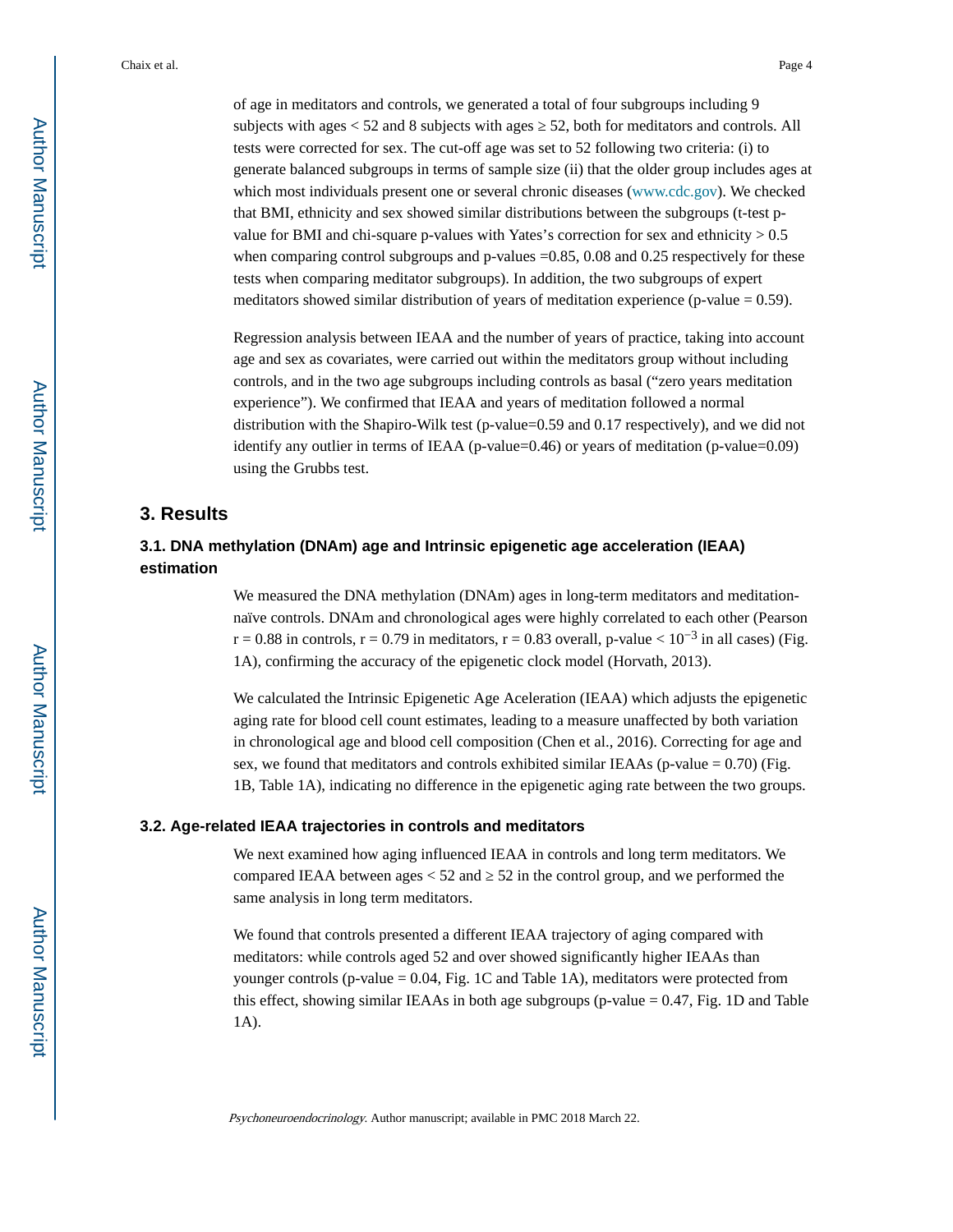of age in meditators and controls, we generated a total of four subgroups including 9 subjects with ages  $< 52$  and 8 subjects with ages  $52$ , both for meditators and controls. All tests were corrected for sex. The cut-off age was set to 52 following two criteria: (i) to generate balanced subgroups in terms of sample size (ii) that the older group includes ages at which most individuals present one or several chronic diseases [\(www.cdc.gov\)](http://www.cdc.gov). We checked that BMI, ethnicity and sex showed similar distributions between the subgroups (t-test pvalue for BMI and chi-square p-values with Yates's correction for sex and ethnicity  $> 0.5$ when comparing control subgroups and p-values  $=0.85$ , 0.08 and 0.25 respectively for these tests when comparing meditator subgroups). In addition, the two subgroups of expert meditators showed similar distribution of years of meditation experience (p-value  $= 0.59$ ).

Regression analysis between IEAA and the number of years of practice, taking into account age and sex as covariates, were carried out within the meditators group without including controls, and in the two age subgroups including controls as basal ("zero years meditation experience"). We confirmed that IEAA and years of meditation followed a normal distribution with the Shapiro-Wilk test (p-value=0.59 and 0.17 respectively), and we did not identify any outlier in terms of IEAA (p-value=0.46) or years of meditation (p-value=0.09) using the Grubbs test.

# **3. Results**

# **3.1. DNA methylation (DNAm) age and Intrinsic epigenetic age acceleration (IEAA) estimation**

We measured the DNA methylation (DNAm) ages in long-term meditators and meditationnaïve controls. DNAm and chronological ages were highly correlated to each other (Pearson r = 0.88 in controls, r = 0.79 in meditators, r = 0.83 overall, p-value <  $10^{-3}$  in all cases) (Fig. 1A), confirming the accuracy of the epigenetic clock model (Horvath, 2013).

We calculated the Intrinsic Epigenetic Age Aceleration (IEAA) which adjusts the epigenetic aging rate for blood cell count estimates, leading to a measure unaffected by both variation in chronological age and blood cell composition (Chen et al., 2016). Correcting for age and sex, we found that meditators and controls exhibited similar IEAAs (p-value  $= 0.70$ ) (Fig. 1B, Table 1A), indicating no difference in the epigenetic aging rate between the two groups.

#### **3.2. Age-related IEAA trajectories in controls and meditators**

We next examined how aging influenced IEAA in controls and long term meditators. We compared IEAA between ages  $<$  52 and  $\,$  52 in the control group, and we performed the same analysis in long term meditators.

We found that controls presented a different IEAA trajectory of aging compared with meditators: while controls aged 52 and over showed significantly higher IEAAs than younger controls (p-value  $= 0.04$ , Fig. 1C and Table 1A), meditators were protected from this effect, showing similar IEAAs in both age subgroups (p-value  $= 0.47$ , Fig. 1D and Table 1A).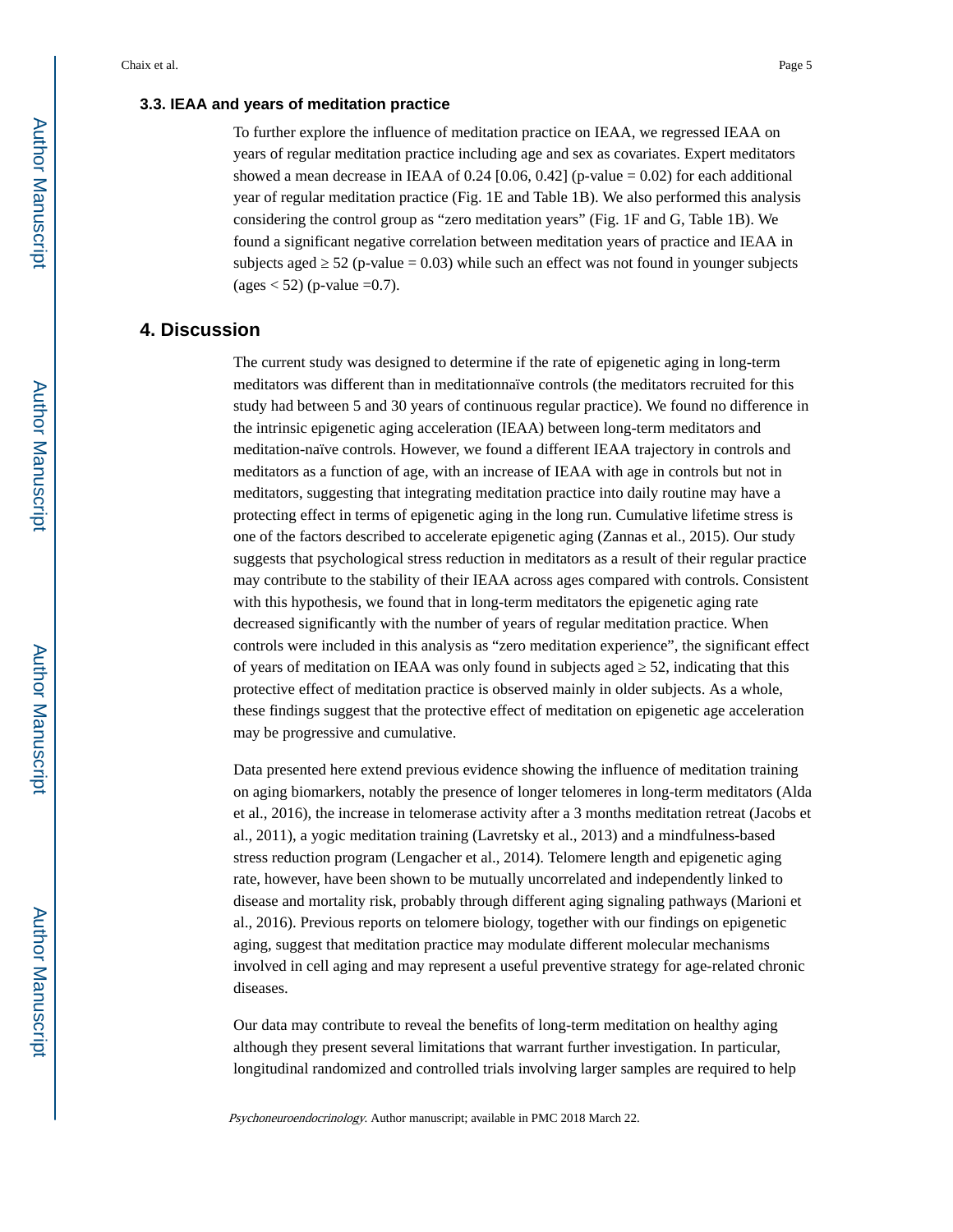### **3.3. IEAA and years of meditation practice**

To further explore the influence of meditation practice on IEAA, we regressed IEAA on years of regular meditation practice including age and sex as covariates. Expert meditators showed a mean decrease in IEAA of 0.24 [0.06, 0.42] (p-value  $= 0.02$ ) for each additional year of regular meditation practice (Fig. 1E and Table 1B). We also performed this analysis considering the control group as "zero meditation years" (Fig. 1F and G, Table 1B). We found a significant negative correlation between meditation years of practice and IEAA in subjects aged  $52$  (p-value = 0.03) while such an effect was not found in younger subjects  $(\text{ages} < 52)$  (p-value =0.7).

# **4. Discussion**

The current study was designed to determine if the rate of epigenetic aging in long-term meditators was different than in meditationnaïve controls (the meditators recruited for this study had between 5 and 30 years of continuous regular practice). We found no difference in the intrinsic epigenetic aging acceleration (IEAA) between long-term meditators and meditation-naïve controls. However, we found a different IEAA trajectory in controls and meditators as a function of age, with an increase of IEAA with age in controls but not in meditators, suggesting that integrating meditation practice into daily routine may have a protecting effect in terms of epigenetic aging in the long run. Cumulative lifetime stress is one of the factors described to accelerate epigenetic aging (Zannas et al., 2015). Our study suggests that psychological stress reduction in meditators as a result of their regular practice may contribute to the stability of their IEAA across ages compared with controls. Consistent with this hypothesis, we found that in long-term meditators the epigenetic aging rate decreased significantly with the number of years of regular meditation practice. When controls were included in this analysis as "zero meditation experience", the significant effect of years of meditation on IEAA was only found in subjects aged 52, indicating that this protective effect of meditation practice is observed mainly in older subjects. As a whole, these findings suggest that the protective effect of meditation on epigenetic age acceleration may be progressive and cumulative.

Data presented here extend previous evidence showing the influence of meditation training on aging biomarkers, notably the presence of longer telomeres in long-term meditators (Alda et al., 2016), the increase in telomerase activity after a 3 months meditation retreat (Jacobs et al., 2011), a yogic meditation training (Lavretsky et al., 2013) and a mindfulness-based stress reduction program (Lengacher et al., 2014). Telomere length and epigenetic aging rate, however, have been shown to be mutually uncorrelated and independently linked to disease and mortality risk, probably through different aging signaling pathways (Marioni et al., 2016). Previous reports on telomere biology, together with our findings on epigenetic aging, suggest that meditation practice may modulate different molecular mechanisms involved in cell aging and may represent a useful preventive strategy for age-related chronic diseases.

Our data may contribute to reveal the benefits of long-term meditation on healthy aging although they present several limitations that warrant further investigation. In particular, longitudinal randomized and controlled trials involving larger samples are required to help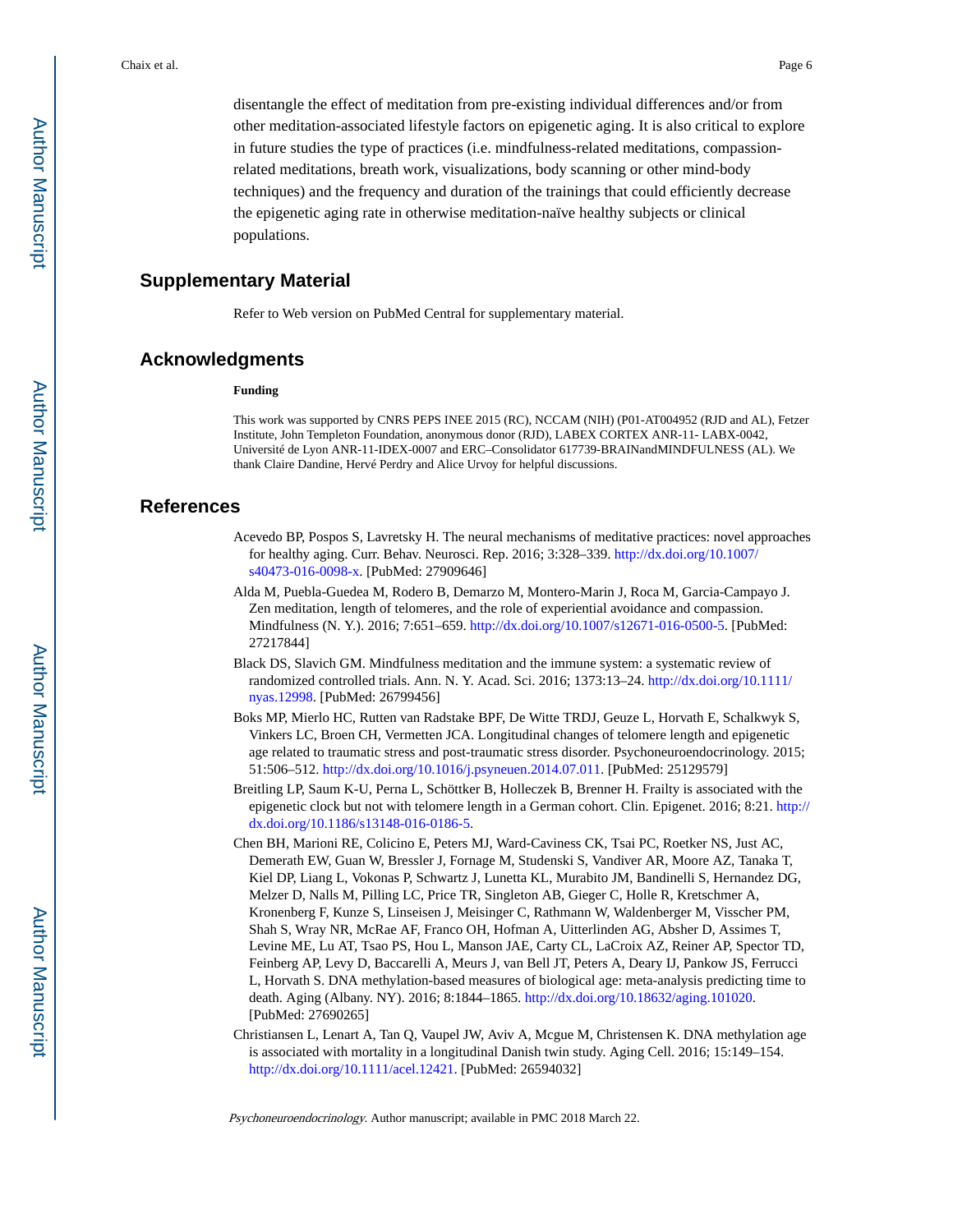disentangle the effect of meditation from pre-existing individual differences and/or from other meditation-associated lifestyle factors on epigenetic aging. It is also critical to explore in future studies the type of practices (i.e. mindfulness-related meditations, compassionrelated meditations, breath work, visualizations, body scanning or other mind-body techniques) and the frequency and duration of the trainings that could efficiently decrease the epigenetic aging rate in otherwise meditation-naïve healthy subjects or clinical populations.

# **Supplementary Material**

Refer to Web version on PubMed Central for supplementary material.

#### **Acknowledgments**

#### **Funding**

This work was supported by CNRS PEPS INEE 2015 (RC), NCCAM (NIH) (P01-AT004952 (RJD and AL), Fetzer Institute, John Templeton Foundation, anonymous donor (RJD), LABEX CORTEX ANR-11- LABX-0042, Université de Lyon ANR-11-IDEX-0007 and ERC–Consolidator 617739-BRAINandMINDFULNESS (AL). We thank Claire Dandine, Hervé Perdry and Alice Urvoy for helpful discussions.

# **References**

- Acevedo BP, Pospos S, Lavretsky H. The neural mechanisms of meditative practices: novel approaches for healthy aging. Curr. Behav. Neurosci. Rep. 2016; 3:328–339. [http://dx.doi.org/10.1007/](http://dx.doi.org/10.1007/s40473-016-0098-x) [s40473-016-0098-x.](http://dx.doi.org/10.1007/s40473-016-0098-x) [PubMed: 27909646]
- Alda M, Puebla-Guedea M, Rodero B, Demarzo M, Montero-Marin J, Roca M, Garcia-Campayo J. Zen meditation, length of telomeres, and the role of experiential avoidance and compassion. Mindfulness (N. Y.). 2016; 7:651–659. [http://dx.doi.org/10.1007/s12671-016-0500-5.](http://dx.doi.org/10.1007/s12671-016-0500-5) [PubMed: 27217844]
- Black DS, Slavich GM. Mindfulness meditation and the immune system: a systematic review of randomized controlled trials. Ann. N. Y. Acad. Sci. 2016; 1373:13–24. [http://dx.doi.org/10.1111/](http://dx.doi.org/10.1111/nyas.12998) [nyas.12998](http://dx.doi.org/10.1111/nyas.12998). [PubMed: 26799456]
- Boks MP, Mierlo HC, Rutten van Radstake BPF, De Witte TRDJ, Geuze L, Horvath E, Schalkwyk S, Vinkers LC, Broen CH, Vermetten JCA. Longitudinal changes of telomere length and epigenetic age related to traumatic stress and post-traumatic stress disorder. Psychoneuroendocrinology. 2015; 51:506–512. <http://dx.doi.org/10.1016/j.psyneuen.2014.07.011>. [PubMed: 25129579]
- Breitling LP, Saum K-U, Perna L, Schöttker B, Holleczek B, Brenner H. Frailty is associated with the epigenetic clock but not with telomere length in a German cohort. Clin. Epigenet. 2016; 8:21. [http://](http://dx.doi.org/10.1186/s13148-016-0186-5) [dx.doi.org/10.1186/s13148-016-0186-5](http://dx.doi.org/10.1186/s13148-016-0186-5).
- Chen BH, Marioni RE, Colicino E, Peters MJ, Ward-Caviness CK, Tsai PC, Roetker NS, Just AC, Demerath EW, Guan W, Bressler J, Fornage M, Studenski S, Vandiver AR, Moore AZ, Tanaka T, Kiel DP, Liang L, Vokonas P, Schwartz J, Lunetta KL, Murabito JM, Bandinelli S, Hernandez DG, Melzer D, Nalls M, Pilling LC, Price TR, Singleton AB, Gieger C, Holle R, Kretschmer A, Kronenberg F, Kunze S, Linseisen J, Meisinger C, Rathmann W, Waldenberger M, Visscher PM, Shah S, Wray NR, McRae AF, Franco OH, Hofman A, Uitterlinden AG, Absher D, Assimes T, Levine ME, Lu AT, Tsao PS, Hou L, Manson JAE, Carty CL, LaCroix AZ, Reiner AP, Spector TD, Feinberg AP, Levy D, Baccarelli A, Meurs J, van Bell JT, Peters A, Deary IJ, Pankow JS, Ferrucci L, Horvath S. DNA methylation-based measures of biological age: meta-analysis predicting time to death. Aging (Albany. NY). 2016; 8:1844–1865. [http://dx.doi.org/10.18632/aging.101020.](http://dx.doi.org/10.18632/aging.101020) [PubMed: 27690265]
- Christiansen L, Lenart A, Tan Q, Vaupel JW, Aviv A, Mcgue M, Christensen K. DNA methylation age is associated with mortality in a longitudinal Danish twin study. Aging Cell. 2016; 15:149–154. [http://dx.doi.org/10.1111/acel.12421.](http://dx.doi.org/10.1111/acel.12421) [PubMed: 26594032]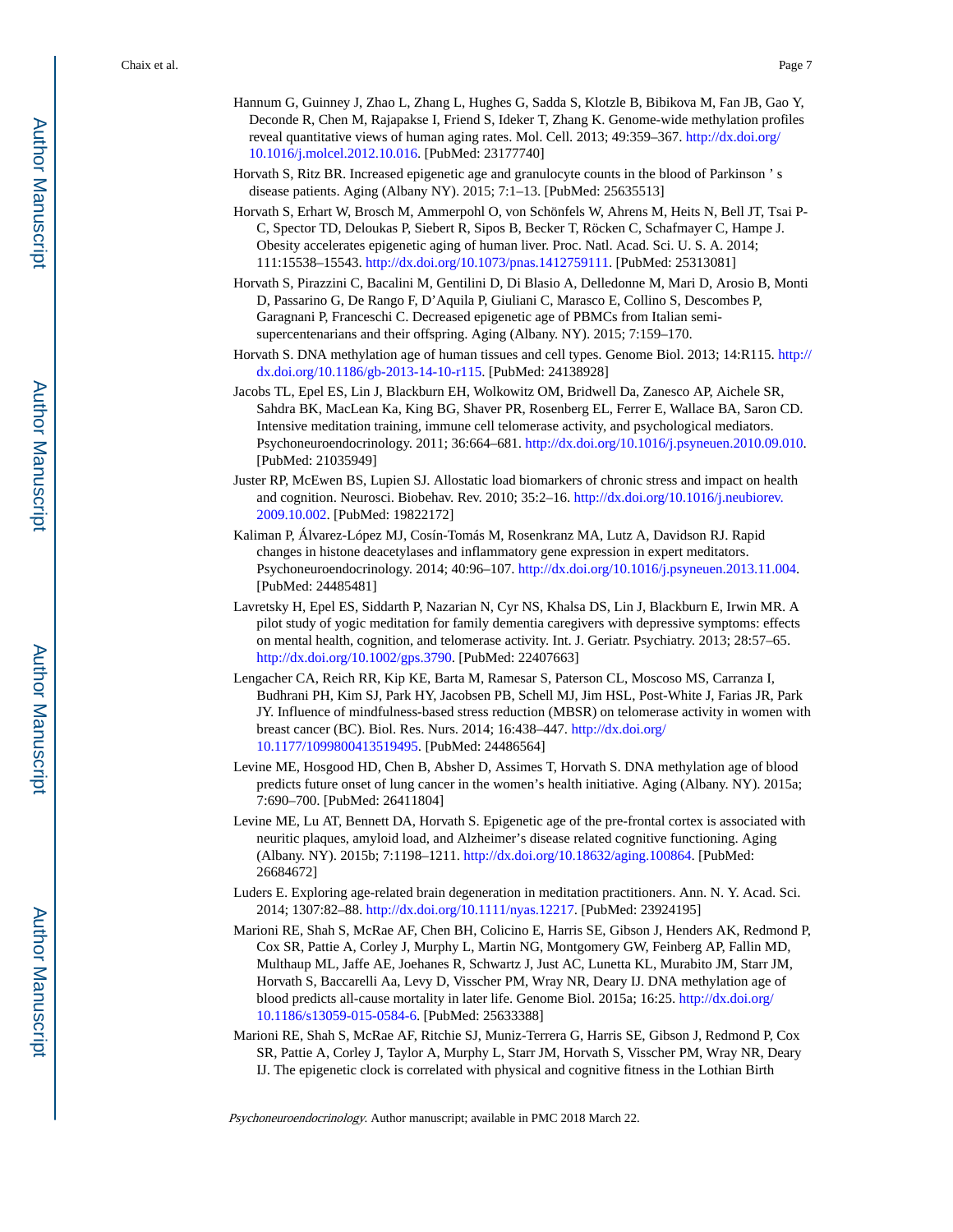- Hannum G, Guinney J, Zhao L, Zhang L, Hughes G, Sadda S, Klotzle B, Bibikova M, Fan JB, Gao Y, Deconde R, Chen M, Rajapakse I, Friend S, Ideker T, Zhang K. Genome-wide methylation profiles reveal quantitative views of human aging rates. Mol. Cell. 2013; 49:359–367. [http://dx.doi.org/](http://dx.doi.org/10.1016/j.molcel.2012.10.016) [10.1016/j.molcel.2012.10.016](http://dx.doi.org/10.1016/j.molcel.2012.10.016). [PubMed: 23177740]
- Horvath S, Ritz BR. Increased epigenetic age and granulocyte counts in the blood of Parkinson ' s disease patients. Aging (Albany NY). 2015; 7:1–13. [PubMed: 25635513]
- Horvath S, Erhart W, Brosch M, Ammerpohl O, von Schönfels W, Ahrens M, Heits N, Bell JT, Tsai P-C, Spector TD, Deloukas P, Siebert R, Sipos B, Becker T, Röcken C, Schafmayer C, Hampe J. Obesity accelerates epigenetic aging of human liver. Proc. Natl. Acad. Sci. U. S. A. 2014; 111:15538–15543. <http://dx.doi.org/10.1073/pnas.1412759111>. [PubMed: 25313081]
- Horvath S, Pirazzini C, Bacalini M, Gentilini D, Di Blasio A, Delledonne M, Mari D, Arosio B, Monti D, Passarino G, De Rango F, D'Aquila P, Giuliani C, Marasco E, Collino S, Descombes P, Garagnani P, Franceschi C. Decreased epigenetic age of PBMCs from Italian semisupercentenarians and their offspring. Aging (Albany. NY). 2015; 7:159–170.
- Horvath S. DNA methylation age of human tissues and cell types. Genome Biol. 2013; 14:R115. [http://](http://dx.doi.org/10.1186/gb-2013-14-10-r115) [dx.doi.org/10.1186/gb-2013-14-10-r115.](http://dx.doi.org/10.1186/gb-2013-14-10-r115) [PubMed: 24138928]
- Jacobs TL, Epel ES, Lin J, Blackburn EH, Wolkowitz OM, Bridwell Da, Zanesco AP, Aichele SR, Sahdra BK, MacLean Ka, King BG, Shaver PR, Rosenberg EL, Ferrer E, Wallace BA, Saron CD. Intensive meditation training, immune cell telomerase activity, and psychological mediators. Psychoneuroendocrinology. 2011; 36:664–681. <http://dx.doi.org/10.1016/j.psyneuen.2010.09.010>. [PubMed: 21035949]
- Juster RP, McEwen BS, Lupien SJ. Allostatic load biomarkers of chronic stress and impact on health and cognition. Neurosci. Biobehav. Rev. 2010; 35:2–16. [http://dx.doi.org/10.1016/j.neubiorev.](http://dx.doi.org/10.1016/j.neubiorev.2009.10.002) [2009.10.002.](http://dx.doi.org/10.1016/j.neubiorev.2009.10.002) [PubMed: 19822172]
- Kaliman P, Álvarez-López MJ, Cosín-Tomás M, Rosenkranz MA, Lutz A, Davidson RJ. Rapid changes in histone deacetylases and inflammatory gene expression in expert meditators. Psychoneuroendocrinology. 2014; 40:96–107. [http://dx.doi.org/10.1016/j.psyneuen.2013.11.004.](http://dx.doi.org/10.1016/j.psyneuen.2013.11.004) [PubMed: 24485481]
- Lavretsky H, Epel ES, Siddarth P, Nazarian N, Cyr NS, Khalsa DS, Lin J, Blackburn E, Irwin MR. A pilot study of yogic meditation for family dementia caregivers with depressive symptoms: effects on mental health, cognition, and telomerase activity. Int. J. Geriatr. Psychiatry. 2013; 28:57–65. <http://dx.doi.org/10.1002/gps.3790>. [PubMed: 22407663]
- Lengacher CA, Reich RR, Kip KE, Barta M, Ramesar S, Paterson CL, Moscoso MS, Carranza I, Budhrani PH, Kim SJ, Park HY, Jacobsen PB, Schell MJ, Jim HSL, Post-White J, Farias JR, Park JY. Influence of mindfulness-based stress reduction (MBSR) on telomerase activity in women with breast cancer (BC). Biol. Res. Nurs. 2014; 16:438–447. [http://dx.doi.org/](http://dx.doi.org/10.1177/1099800413519495) [10.1177/1099800413519495.](http://dx.doi.org/10.1177/1099800413519495) [PubMed: 24486564]
- Levine ME, Hosgood HD, Chen B, Absher D, Assimes T, Horvath S. DNA methylation age of blood predicts future onset of lung cancer in the women's health initiative. Aging (Albany. NY). 2015a; 7:690–700. [PubMed: 26411804]
- Levine ME, Lu AT, Bennett DA, Horvath S. Epigenetic age of the pre-frontal cortex is associated with neuritic plaques, amyloid load, and Alzheimer's disease related cognitive functioning. Aging (Albany. NY). 2015b; 7:1198–1211.<http://dx.doi.org/10.18632/aging.100864>. [PubMed: 26684672]
- Luders E. Exploring age-related brain degeneration in meditation practitioners. Ann. N. Y. Acad. Sci. 2014; 1307:82–88. [http://dx.doi.org/10.1111/nyas.12217.](http://dx.doi.org/10.1111/nyas.12217) [PubMed: 23924195]
- Marioni RE, Shah S, McRae AF, Chen BH, Colicino E, Harris SE, Gibson J, Henders AK, Redmond P, Cox SR, Pattie A, Corley J, Murphy L, Martin NG, Montgomery GW, Feinberg AP, Fallin MD, Multhaup ML, Jaffe AE, Joehanes R, Schwartz J, Just AC, Lunetta KL, Murabito JM, Starr JM, Horvath S, Baccarelli Aa, Levy D, Visscher PM, Wray NR, Deary IJ. DNA methylation age of blood predicts all-cause mortality in later life. Genome Biol. 2015a; 16:25. [http://dx.doi.org/](http://dx.doi.org/10.1186/s13059-015-0584-6) [10.1186/s13059-015-0584-6.](http://dx.doi.org/10.1186/s13059-015-0584-6) [PubMed: 25633388]
- Marioni RE, Shah S, McRae AF, Ritchie SJ, Muniz-Terrera G, Harris SE, Gibson J, Redmond P, Cox SR, Pattie A, Corley J, Taylor A, Murphy L, Starr JM, Horvath S, Visscher PM, Wray NR, Deary IJ. The epigenetic clock is correlated with physical and cognitive fitness in the Lothian Birth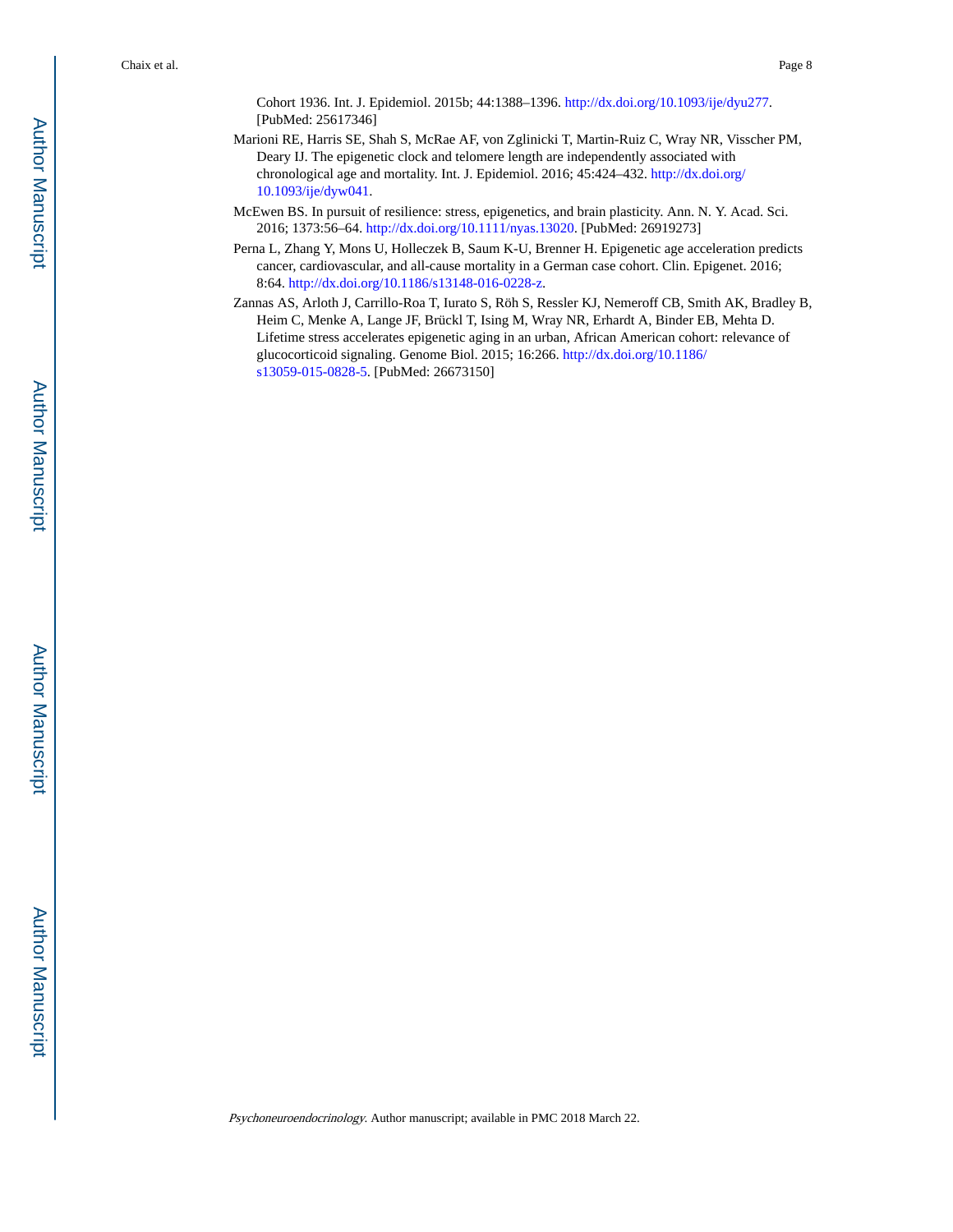Cohort 1936. Int. J. Epidemiol. 2015b; 44:1388–1396.<http://dx.doi.org/10.1093/ije/dyu277>. [PubMed: 25617346]

- Marioni RE, Harris SE, Shah S, McRae AF, von Zglinicki T, Martin-Ruiz C, Wray NR, Visscher PM, Deary IJ. The epigenetic clock and telomere length are independently associated with chronological age and mortality. Int. J. Epidemiol. 2016; 45:424–432. [http://dx.doi.org/](http://dx.doi.org/10.1093/ije/dyw041) [10.1093/ije/dyw041](http://dx.doi.org/10.1093/ije/dyw041).
- McEwen BS. In pursuit of resilience: stress, epigenetics, and brain plasticity. Ann. N. Y. Acad. Sci. 2016; 1373:56–64. [http://dx.doi.org/10.1111/nyas.13020.](http://dx.doi.org/10.1111/nyas.13020) [PubMed: 26919273]
- Perna L, Zhang Y, Mons U, Holleczek B, Saum K-U, Brenner H. Epigenetic age acceleration predicts cancer, cardiovascular, and all-cause mortality in a German case cohort. Clin. Epigenet. 2016; 8:64. [http://dx.doi.org/10.1186/s13148-016-0228-z.](http://dx.doi.org/10.1186/s13148-016-0228-z)
- Zannas AS, Arloth J, Carrillo-Roa T, Iurato S, Röh S, Ressler KJ, Nemeroff CB, Smith AK, Bradley B, Heim C, Menke A, Lange JF, Brückl T, Ising M, Wray NR, Erhardt A, Binder EB, Mehta D. Lifetime stress accelerates epigenetic aging in an urban, African American cohort: relevance of glucocorticoid signaling. Genome Biol. 2015; 16:266. [http://dx.doi.org/10.1186/](http://dx.doi.org/10.1186/s13059-015-0828-5) [s13059-015-0828-5.](http://dx.doi.org/10.1186/s13059-015-0828-5) [PubMed: 26673150]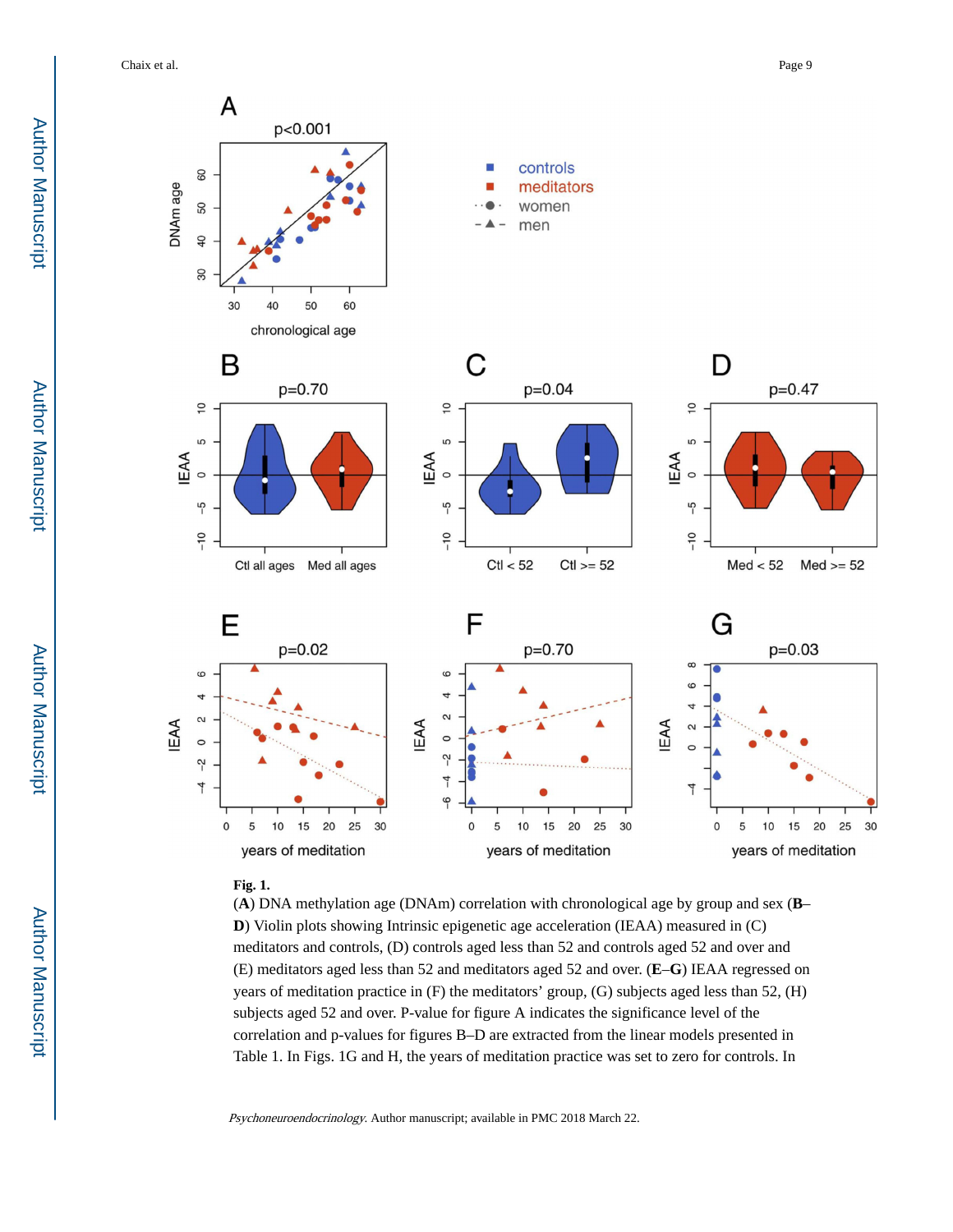Chaix et al. Page 9



#### **Fig. 1.**

(**A**) DNA methylation age (DNAm) correlation with chronological age by group and sex (**B**– **D**) Violin plots showing Intrinsic epigenetic age acceleration (IEAA) measured in (C) meditators and controls, (D) controls aged less than 52 and controls aged 52 and over and (E) meditators aged less than 52 and meditators aged 52 and over. (**E**–**G**) IEAA regressed on years of meditation practice in (F) the meditators' group, (G) subjects aged less than 52, (H) subjects aged 52 and over. P-value for figure A indicates the significance level of the correlation and p-values for figures B–D are extracted from the linear models presented in Table 1. In Figs. 1G and H, the years of meditation practice was set to zero for controls. In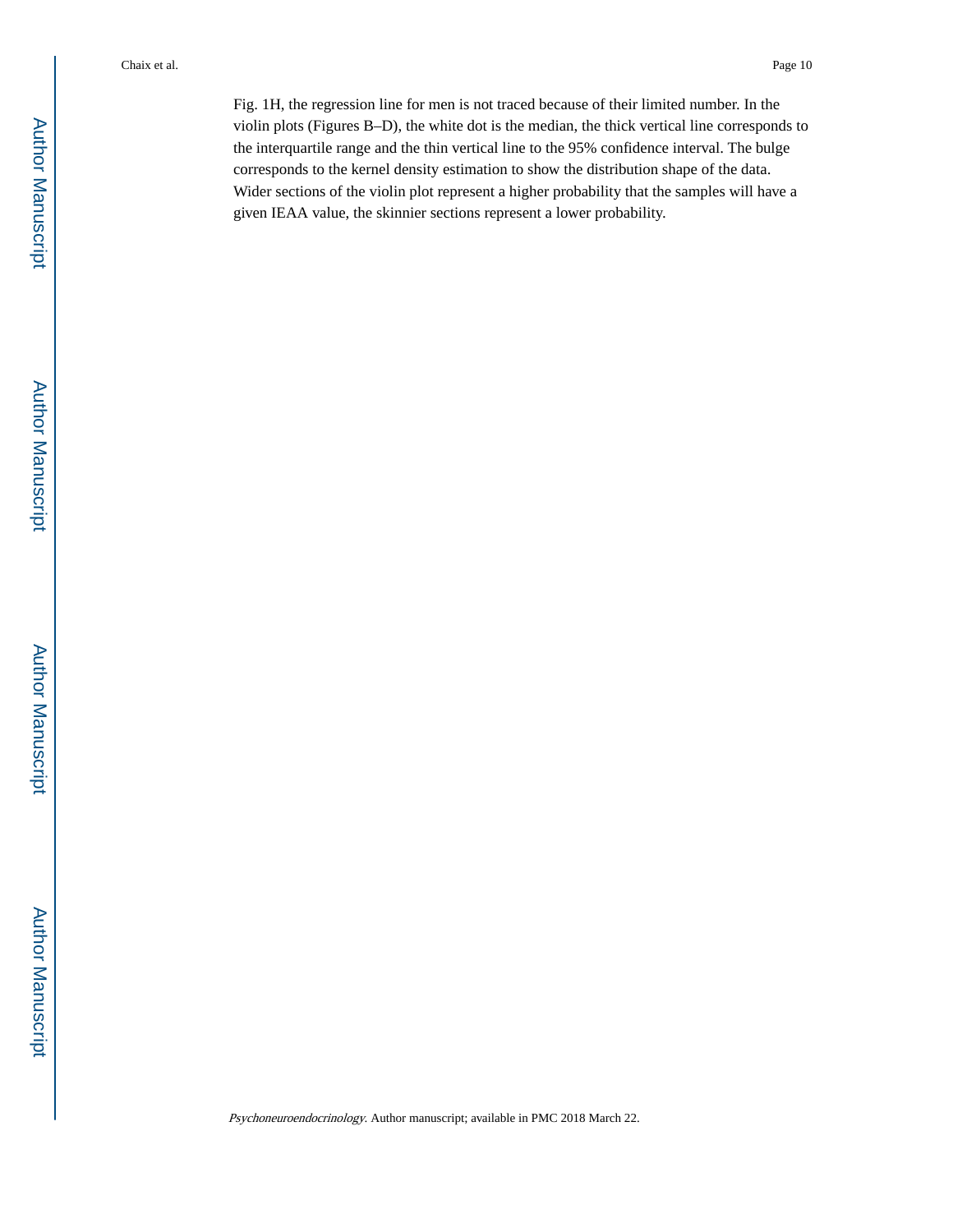Fig. 1H, the regression line for men is not traced because of their limited number. In the violin plots (Figures B–D), the white dot is the median, the thick vertical line corresponds to the interquartile range and the thin vertical line to the 95% confidence interval. The bulge corresponds to the kernel density estimation to show the distribution shape of the data. Wider sections of the violin plot represent a higher probability that the samples will have a given IEAA value, the skinnier sections represent a lower probability.